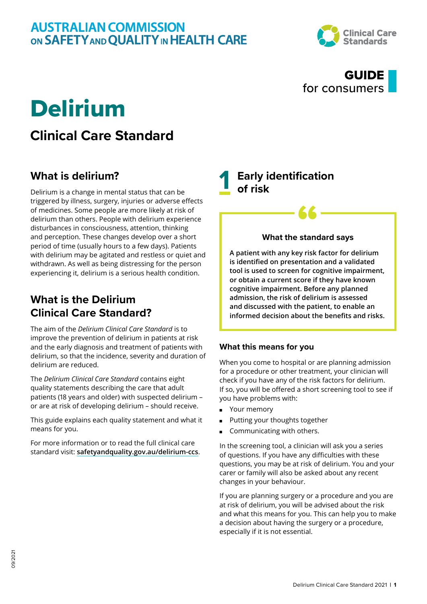

### GUIDE for consumers

## Delirium

## **Clinical Care Standard**

### **What is delirium?**

Delirium is a change in mental status that can be triggered by illness, surgery, injuries or adverse effects of medicines. Some people are more likely at risk of delirium than others. People with delirium experience disturbances in consciousness, attention, thinking and perception. These changes develop over a short period of time (usually hours to a few days). Patients with delirium may be agitated and restless or quiet and withdrawn. As well as being distressing for the person experiencing it, delirium is a serious health condition.

### **What is the Delirium Clinical Care Standard?**

The aim of the *Delirium Clinical Care Standard* is to improve the prevention of delirium in patients at risk and the early diagnosis and treatment of patients with delirium, so that the incidence, severity and duration of delirium are reduced.

The *Delirium Clinical Care Standard* contains eight quality statements describing the care that adult patients (18 years and older) with suspected delirium – or are at risk of developing delirium – should receive.

This guide explains each quality statement and what it means for you.

For more information or to read the full clinical care standard visit: **[safetyandquality.gov.au/delirium-ccs](http://safetyandquality.gov.au/delirium-ccs)**. **1 Early identification of risk**

# *<u>What the standard says</u>*

**A patient with any key risk factor for delirium is identified on presentation and a validated tool is used to screen for cognitive impairment, or obtain a current score if they have known cognitive impairment. Before any planned admission, the risk of delirium is assessed and discussed with the patient, to enable an informed decision about the benefits and risks.**

#### **What this means for you**

When you come to hospital or are planning admission for a procedure or other treatment, your clinician will check if you have any of the risk factors for delirium. If so, you will be offered a short screening tool to see if you have problems with:

- Your memory
- Putting your thoughts together
- Communicating with others.

In the screening tool, a clinician will ask you a series of questions. If you have any difficulties with these questions, you may be at risk of delirium. You and your carer or family will also be asked about any recent changes in your behaviour.

If you are planning surgery or a procedure and you are at risk of delirium, you will be advised about the risk and what this means for you. This can help you to make a decision about having the surgery or a procedure, especially if it is not essential.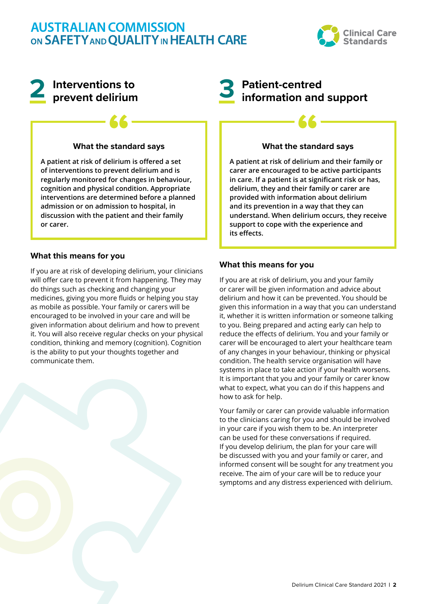

## **2 Interventions to prevent delirium**

# *<u>K</u>*<br>What the standard says

**A patient at risk of delirium is offered a set of interventions to prevent delirium and is regularly monitored for changes in behaviour, cognition and physical condition. Appropriate interventions are determined before a planned admission or on admission to hospital, in discussion with the patient and their family or carer.**

#### **What this means for you**

If you are at risk of developing delirium, your clinicians will offer care to prevent it from happening. They may do things such as checking and changing your medicines, giving you more fluids or helping you stay as mobile as possible. Your family or carers will be encouraged to be involved in your care and will be given information about delirium and how to prevent it. You will also receive regular checks on your physical condition, thinking and memory (cognition). Cognition is the ability to put your thoughts together and communicate them.

## **3 Patient-centred information and support**

# *<u>K</u>*<br>What the standard says

**A patient at risk of delirium and their family or carer are encouraged to be active participants in care. If a patient is at significant risk or has, delirium, they and their family or carer are provided with information about delirium and its prevention in a way that they can understand. When delirium occurs, they receive support to cope with the experience and its effects.**

#### **What this means for you**

If you are at risk of delirium, you and your family or carer will be given information and advice about delirium and how it can be prevented. You should be given this information in a way that you can understand it, whether it is written information or someone talking to you. Being prepared and acting early can help to reduce the effects of delirium. You and your family or carer will be encouraged to alert your healthcare team of any changes in your behaviour, thinking or physical condition. The health service organisation will have systems in place to take action if your health worsens. It is important that you and your family or carer know what to expect, what you can do if this happens and how to ask for help.

Your family or carer can provide valuable information to the clinicians caring for you and should be involved in your care if you wish them to be. An interpreter can be used for these conversations if required. If you develop delirium, the plan for your care will be discussed with you and your family or carer, and informed consent will be sought for any treatment you receive. The aim of your care will be to reduce your symptoms and any distress experienced with delirium.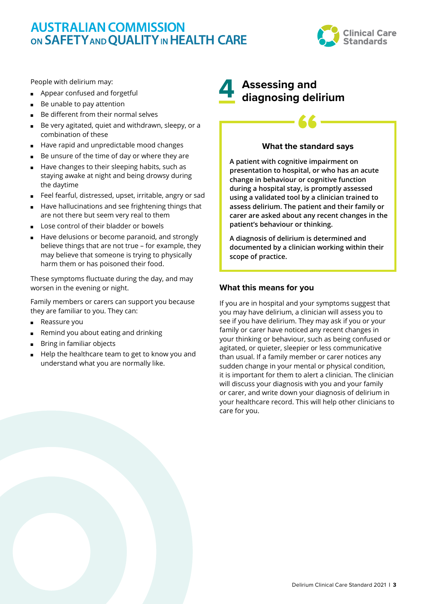

People with delirium may:

- Appear confused and forgetful
- Be unable to pay attention
- Be different from their normal selves
- Be very agitated, quiet and withdrawn, sleepy, or a combination of these
- Have rapid and unpredictable mood changes
- Be unsure of the time of day or where they are
- Have changes to their sleeping habits, such as staying awake at night and being drowsy during the daytime
- Feel fearful, distressed, upset, irritable, angry or sad
- Have hallucinations and see frightening things that are not there but seem very real to them
- Lose control of their bladder or bowels
- Have delusions or become paranoid, and strongly believe things that are not true – for example, they may believe that someone is trying to physically harm them or has poisoned their food.

These symptoms fluctuate during the day, and may worsen in the evening or night.

Family members or carers can support you because they are familiar to you. They can:

- Reassure you
- Remind you about eating and drinking
- Bring in familiar objects
- Help the healthcare team to get to know you and understand what you are normally like.

## **4 Assessing and diagnosing delirium**

# *<u>K</u>*<br>What the standard says

**A patient with cognitive impairment on presentation to hospital, or who has an acute change in behaviour or cognitive function during a hospital stay, is promptly assessed using a validated tool by a clinician trained to assess delirium. The patient and their family or carer are asked about any recent changes in the patient's behaviour or thinking.** 

**A diagnosis of delirium is determined and documented by a clinician working within their scope of practice.**

#### **What this means for you**

If you are in hospital and your symptoms suggest that you may have delirium, a clinician will assess you to see if you have delirium. They may ask if you or your family or carer have noticed any recent changes in your thinking or behaviour, such as being confused or agitated, or quieter, sleepier or less communicative than usual. If a family member or carer notices any sudden change in your mental or physical condition, it is important for them to alert a clinician. The clinician will discuss your diagnosis with you and your family or carer, and write down your diagnosis of delirium in your healthcare record. This will help other clinicians to care for you.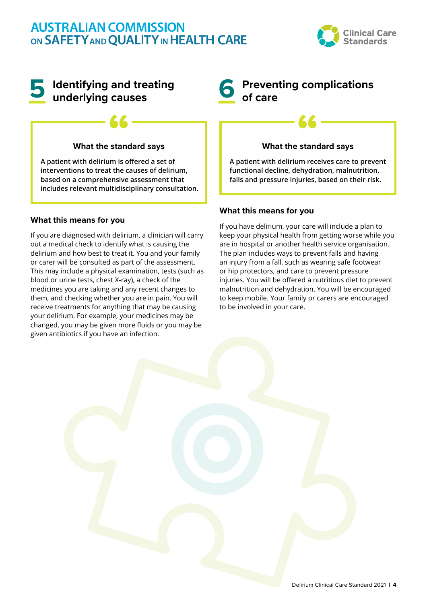

### **5 Identifying and treating underlying causes**

# *<u>K</u>*<br>What the standard says

**A patient with delirium is offered a set of interventions to treat the causes of delirium, based on a comprehensive assessment that includes relevant multidisciplinary consultation.**

#### **What this means for you**

If you are diagnosed with delirium, a clinician will carry out a medical check to identify what is causing the delirium and how best to treat it. You and your family or carer will be consulted as part of the assessment. This may include a physical examination, tests (such as blood or urine tests, chest X-ray), a check of the medicines you are taking and any recent changes to them, and checking whether you are in pain. You will receive treatments for anything that may be causing your delirium. For example, your medicines may be changed, you may be given more fluids or you may be given antibiotics if you have an infection.

# **6 Preventing complications of care**

# *<u>K</u>*<br>What the standard says

**A patient with delirium receives care to prevent functional decline, dehydration, malnutrition, falls and pressure injuries, based on their risk.**

#### **What this means for you**

If you have delirium, your care will include a plan to keep your physical health from getting worse while you are in hospital or another health service organisation. The plan includes ways to prevent falls and having an injury from a fall, such as wearing safe footwear or hip protectors, and care to prevent pressure injuries. You will be offered a nutritious diet to prevent malnutrition and dehydration. You will be encouraged to keep mobile. Your family or carers are encouraged to be involved in your care.